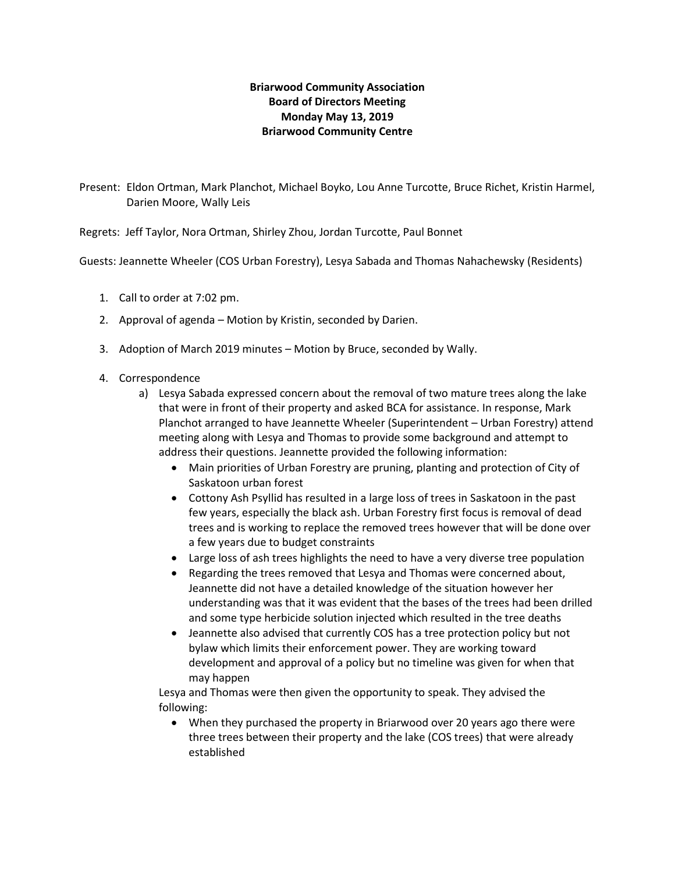## **Briarwood Community Association Board of Directors Meeting Monday May 13, 2019 Briarwood Community Centre**

Present: Eldon Ortman, Mark Planchot, Michael Boyko, Lou Anne Turcotte, Bruce Richet, Kristin Harmel, Darien Moore, Wally Leis

Regrets: Jeff Taylor, Nora Ortman, Shirley Zhou, Jordan Turcotte, Paul Bonnet

Guests: Jeannette Wheeler (COS Urban Forestry), Lesya Sabada and Thomas Nahachewsky (Residents)

- 1. Call to order at 7:02 pm.
- 2. Approval of agenda Motion by Kristin, seconded by Darien.
- 3. Adoption of March 2019 minutes Motion by Bruce, seconded by Wally.
- 4. Correspondence
	- a) Lesya Sabada expressed concern about the removal of two mature trees along the lake that were in front of their property and asked BCA for assistance. In response, Mark Planchot arranged to have Jeannette Wheeler (Superintendent – Urban Forestry) attend meeting along with Lesya and Thomas to provide some background and attempt to address their questions. Jeannette provided the following information:
		- Main priorities of Urban Forestry are pruning, planting and protection of City of Saskatoon urban forest
		- Cottony Ash Psyllid has resulted in a large loss of trees in Saskatoon in the past few years, especially the black ash. Urban Forestry first focus is removal of dead trees and is working to replace the removed trees however that will be done over a few years due to budget constraints
		- Large loss of ash trees highlights the need to have a very diverse tree population
		- Regarding the trees removed that Lesya and Thomas were concerned about, Jeannette did not have a detailed knowledge of the situation however her understanding was that it was evident that the bases of the trees had been drilled and some type herbicide solution injected which resulted in the tree deaths
		- Jeannette also advised that currently COS has a tree protection policy but not bylaw which limits their enforcement power. They are working toward development and approval of a policy but no timeline was given for when that may happen

Lesya and Thomas were then given the opportunity to speak. They advised the following:

• When they purchased the property in Briarwood over 20 years ago there were three trees between their property and the lake (COS trees) that were already established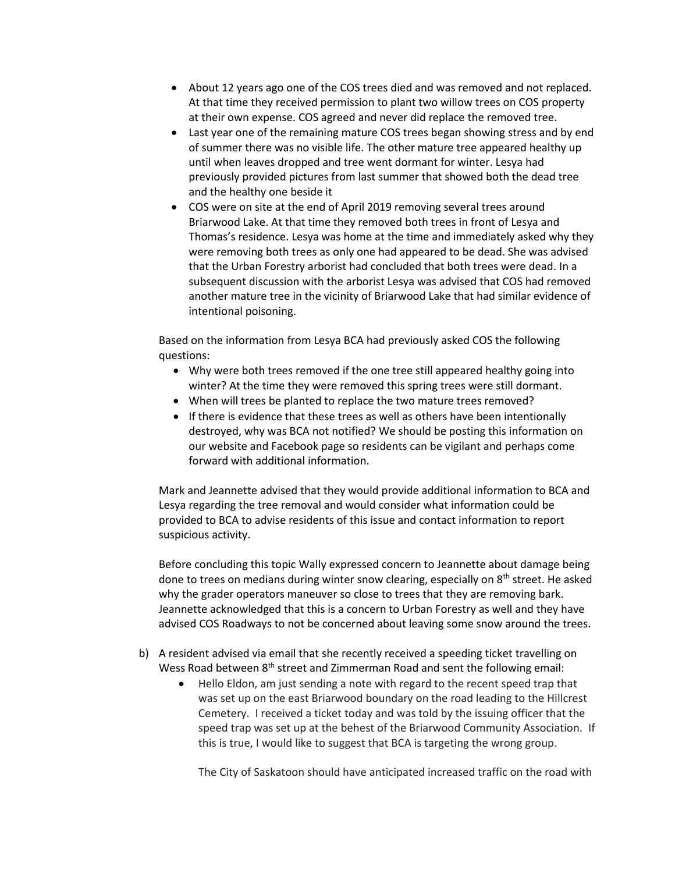- About 12 years ago one of the COS trees died and was removed and not replaced. At that time they received permission to plant two willow trees on COS property at their own expense. COS agreed and never did replace the removed tree.
- Last year one of the remaining mature COS trees began showing stress and by end of summer there was no visible life. The other mature tree appeared healthy up until when leaves dropped and tree went dormant for winter. Lesya had previously provided pictures from last summer that showed both the dead tree and the healthy one beside it
- COS were on site at the end of April 2019 removing several trees around Briarwood Lake. At that time they removed both trees in front of Lesya and Thomas's residence. Lesya was home at the time and immediately asked why they were removing both trees as only one had appeared to be dead. She was advised that the Urban Forestry arborist had concluded that both trees were dead. In a subsequent discussion with the arborist Lesya was advised that COS had removed another mature tree in the vicinity of Briarwood Lake that had similar evidence of intentional poisoning.

Based on the information from Lesya BCA had previously asked COS the following questions:

- Why were both trees removed if the one tree still appeared healthy going into winter? At the time they were removed this spring trees were still dormant.
- When will trees be planted to replace the two mature trees removed?
- If there is evidence that these trees as well as others have been intentionally destroyed, why was BCA not notified? We should be posting this information on our website and Facebook page so residents can be vigilant and perhaps come forward with additional information.

Mark and Jeannette advised that they would provide additional information to BCA and Lesya regarding the tree removal and would consider what information could be provided to BCA to advise residents of this issue and contact information to report suspicious activity.

Before concluding this topic Wally expressed concern to Jeannette about damage being done to trees on medians during winter snow clearing, especially on  $8<sup>th</sup>$  street. He asked why the grader operators maneuver so close to trees that they are removing bark. Jeannette acknowledged that this is a concern to Urban Forestry as well and they have advised COS Roadways to not be concerned about leaving some snow around the trees.

- b) A resident advised via email that she recently received a speeding ticket travelling on Wess Road between 8<sup>th</sup> street and Zimmerman Road and sent the following email:
	- Hello Eldon, am just sending a note with regard to the recent speed trap that was set up on the east Briarwood boundary on the road leading to the Hillcrest Cemetery. I received a ticket today and was told by the issuing officer that the speed trap was set up at the behest of the Briarwood Community Association. If this is true, I would like to suggest that BCA is targeting the wrong group.

The City of Saskatoon should have anticipated increased traffic on the road with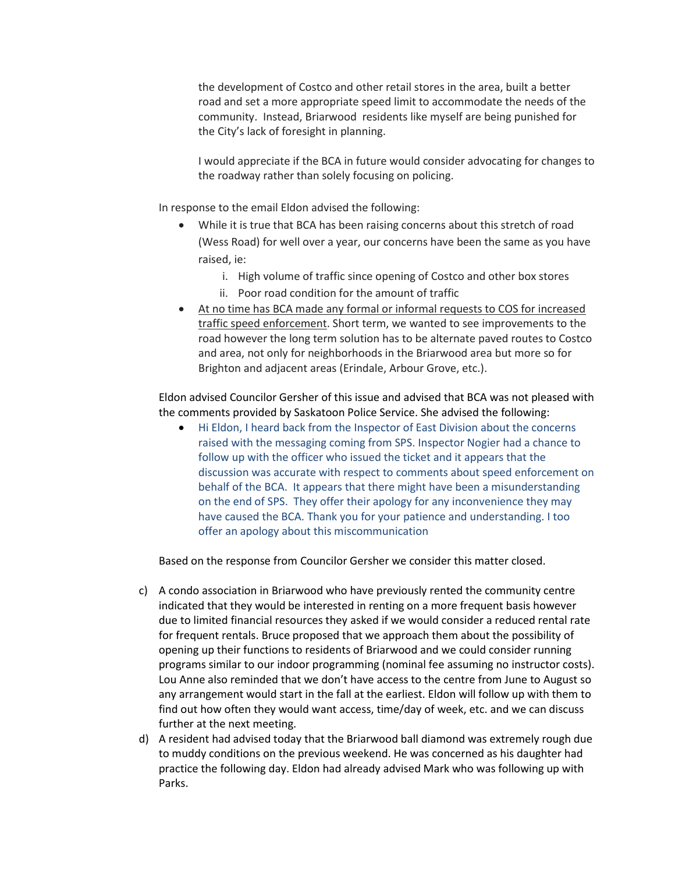the development of Costco and other retail stores in the area, built a better road and set a more appropriate speed limit to accommodate the needs of the community. Instead, Briarwood residents like myself are being punished for the City's lack of foresight in planning.

I would appreciate if the BCA in future would consider advocating for changes to the roadway rather than solely focusing on policing.

In response to the email Eldon advised the following:

- While it is true that BCA has been raising concerns about this stretch of road (Wess Road) for well over a year, our concerns have been the same as you have raised, ie:
	- i. High volume of traffic since opening of Costco and other box stores
	- ii. Poor road condition for the amount of traffic
- At no time has BCA made any formal or informal requests to COS for increased traffic speed enforcement. Short term, we wanted to see improvements to the road however the long term solution has to be alternate paved routes to Costco and area, not only for neighborhoods in the Briarwood area but more so for Brighton and adjacent areas (Erindale, Arbour Grove, etc.).

Eldon advised Councilor Gersher of this issue and advised that BCA was not pleased with the comments provided by Saskatoon Police Service. She advised the following:

• Hi Eldon, I heard back from the Inspector of East Division about the concerns raised with the messaging coming from SPS. Inspector Nogier had a chance to follow up with the officer who issued the ticket and it appears that the discussion was accurate with respect to comments about speed enforcement on behalf of the BCA. It appears that there might have been a misunderstanding on the end of SPS. They offer their apology for any inconvenience they may have caused the BCA. Thank you for your patience and understanding. I too offer an apology about this miscommunication

Based on the response from Councilor Gersher we consider this matter closed.

- c) A condo association in Briarwood who have previously rented the community centre indicated that they would be interested in renting on a more frequent basis however due to limited financial resources they asked if we would consider a reduced rental rate for frequent rentals. Bruce proposed that we approach them about the possibility of opening up their functions to residents of Briarwood and we could consider running programs similar to our indoor programming (nominal fee assuming no instructor costs). Lou Anne also reminded that we don't have access to the centre from June to August so any arrangement would start in the fall at the earliest. Eldon will follow up with them to find out how often they would want access, time/day of week, etc. and we can discuss further at the next meeting.
- d) A resident had advised today that the Briarwood ball diamond was extremely rough due to muddy conditions on the previous weekend. He was concerned as his daughter had practice the following day. Eldon had already advised Mark who was following up with Parks.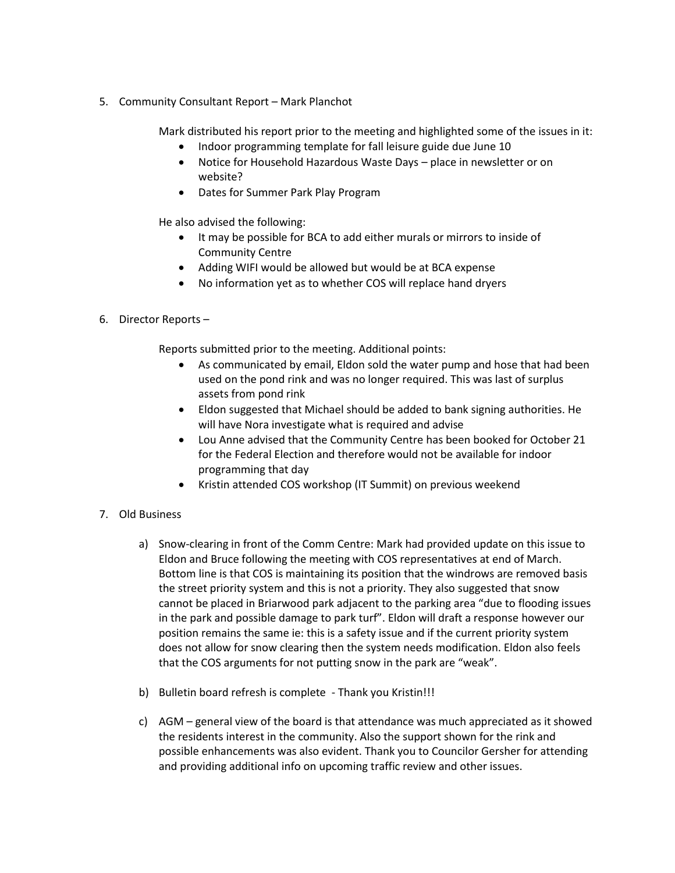5. Community Consultant Report – Mark Planchot

Mark distributed his report prior to the meeting and highlighted some of the issues in it:

- Indoor programming template for fall leisure guide due June 10
- Notice for Household Hazardous Waste Days place in newsletter or on website?
- Dates for Summer Park Play Program

He also advised the following:

- It may be possible for BCA to add either murals or mirrors to inside of Community Centre
- Adding WIFI would be allowed but would be at BCA expense
- No information yet as to whether COS will replace hand dryers
- 6. Director Reports –

Reports submitted prior to the meeting. Additional points:

- As communicated by email, Eldon sold the water pump and hose that had been used on the pond rink and was no longer required. This was last of surplus assets from pond rink
- Eldon suggested that Michael should be added to bank signing authorities. He will have Nora investigate what is required and advise
- Lou Anne advised that the Community Centre has been booked for October 21 for the Federal Election and therefore would not be available for indoor programming that day
- Kristin attended COS workshop (IT Summit) on previous weekend
- 7. Old Business
	- a) Snow-clearing in front of the Comm Centre: Mark had provided update on this issue to Eldon and Bruce following the meeting with COS representatives at end of March. Bottom line is that COS is maintaining its position that the windrows are removed basis the street priority system and this is not a priority. They also suggested that snow cannot be placed in Briarwood park adjacent to the parking area "due to flooding issues in the park and possible damage to park turf". Eldon will draft a response however our position remains the same ie: this is a safety issue and if the current priority system does not allow for snow clearing then the system needs modification. Eldon also feels that the COS arguments for not putting snow in the park are "weak".
	- b) Bulletin board refresh is complete Thank you Kristin!!!
	- c) AGM general view of the board is that attendance was much appreciated as it showed the residents interest in the community. Also the support shown for the rink and possible enhancements was also evident. Thank you to Councilor Gersher for attending and providing additional info on upcoming traffic review and other issues.